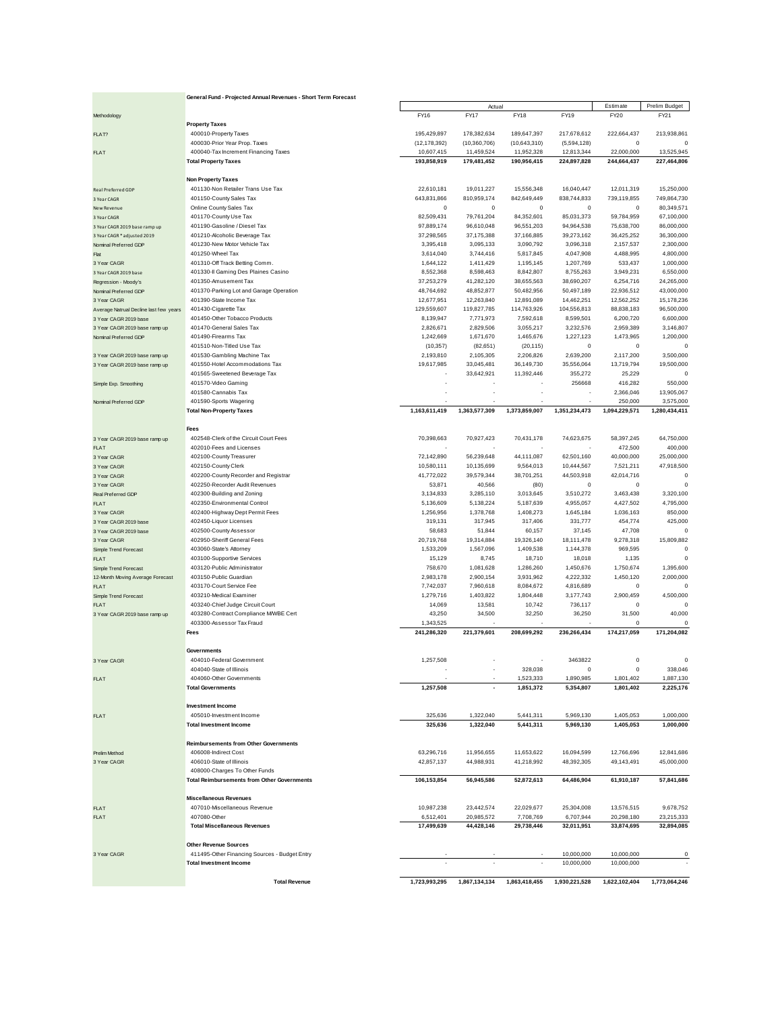|                                                | General Fund - Projected Annual Revenues - Short Term Forecast        |                              |                              |                            |                           |                         |                         |
|------------------------------------------------|-----------------------------------------------------------------------|------------------------------|------------------------------|----------------------------|---------------------------|-------------------------|-------------------------|
|                                                |                                                                       |                              | Actual                       |                            |                           | Estimate                | Prelim Budget           |
| Methodology                                    |                                                                       | FY16                         | <b>FY17</b>                  | <b>FY18</b>                | FY19                      | FY20                    | FY21                    |
|                                                | <b>Property Taxes</b>                                                 |                              |                              |                            |                           |                         |                         |
| FLAT?                                          | 400010-Property Taxes                                                 | 195,429,897                  | 178,382,634                  | 189,647,397                | 217,678,612               | 222,664,437             | 213,938,861             |
| FLAT                                           | 400030-Prior Year Prop. Taxes<br>400040-Tax Increment Financing Taxes | (12, 178, 392)<br>10,607,415 | (10, 360, 706)<br>11,459,524 | (10,643,310)<br>11,952,328 | (5,594,128)<br>12,813,344 | 0<br>22,000,000         | $\circ$<br>13,525,945   |
|                                                | <b>Total Property Taxes</b>                                           | 193,858,919                  | 179,481,452                  | 190,956,415                | 224,897,828               | 244,664,437             | 227,464,806             |
|                                                |                                                                       |                              |                              |                            |                           |                         |                         |
|                                                | <b>Non Property Taxes</b>                                             |                              |                              |                            |                           |                         |                         |
| Real Preferred GDP                             | 401130-Non Retailer Trans Use Tax                                     | 22,610,181                   | 19,011,227                   | 15,556,348                 | 16,040,447                | 12,011,319              | 15,250,000              |
| 3 Year CAGR                                    | 401150-County Sales Tax                                               | 643,831,866                  | 810,959,174                  | 842,649,449                | 838,744,833               | 739,119,855             | 749,864,730             |
| New Revenue                                    | Online County Sales Tax                                               | $^{\circ}$                   | $^{\circ}$                   | 0                          | $\pmb{0}$                 | $\mathbf 0$             | 80,349,571              |
| 3 Year CAGR                                    | 401170-County Use Tax                                                 | 82,509,431                   | 79,761,204                   | 84,352,601                 | 85,031,373                | 59,784,959              | 67,100,000              |
| 3 Year CAGR 2019 base ramp up                  | 401190-Gasoline / Diesel Tax                                          | 97,889,174                   | 96,610,048                   | 96,551,203                 | 94,964,538                | 75,638,700              | 86,000,000              |
| 3 Year CAGR * adjusted 2019                    | 401210-Alcoholic Beverage Tax                                         | 37,298,565                   | 37,175,388                   | 37,166,885                 | 39,273,162                | 36,425,252              | 36,300,000              |
| Nominal Preferred GDP                          | 401230-New Motor Vehicle Tax<br>401250-Wheel Tax                      | 3,395,418                    | 3,095,133                    | 3,090,792                  | 3,096,318                 | 2,157,537               | 2,300,000               |
| Flat<br>3 Year CAGR                            | 401310-Off Track Betting Comm.                                        | 3,614,040<br>1,644,122       | 3,744,416<br>1,411,429       | 5,817,845<br>1,195,145     | 4,047,908<br>1,207,769    | 4,488,995<br>533,437    | 4,800,000<br>1,000,000  |
| 3 Year CAGR 2019 base                          | 401330-II Gaming Des Plaines Casino                                   | 8,552,368                    | 8,598,463                    | 8,842,807                  | 8,755,263                 | 3,949,231               | 6,550,000               |
| Regression - Moody's                           | 401350-Amusement Tax                                                  | 37,253,279                   | 41,282,120                   | 38,655,563                 | 38,690,207                | 6,254,716               | 24,265,000              |
| Nominal Preferred GDP                          | 401370-Parking Lot and Garage Operation                               | 48,764,692                   | 48,852,877                   | 50,482,956                 | 50,497,189                | 22,936,512              | 43,000,000              |
| 3 Year CAGR                                    | 401390-State Income Tax                                               | 12,677,951                   | 12,263,840                   | 12,891,089                 | 14,462,251                | 12,562,252              | 15,178,236              |
| Average Natrual Decline last few years         | 401430-Cigarette Tax                                                  | 129,559,607                  | 119,827,785                  | 114,763,926                | 104,556,813               | 88,838,183              | 96,500,000              |
| 3 Year CAGR 2019 base                          | 401450-Other Tobacco Products                                         | 8,139,947                    | 7,771,973                    | 7,592,618                  | 8,599,501                 | 6,200,720               | 6,600,000               |
| 3 Year CAGR 2019 base ramp up                  | 401470-General Sales Tax                                              | 2,826,671                    | 2,829,506                    | 3,055,217                  | 3,232,576                 | 2,959,389               | 3,146,807               |
| Nominal Preferred GDP                          | 401490-Firearms Tax                                                   | 1,242,669                    | 1,671,670                    | 1,465,676                  | 1,227,123                 | 1,473,965               | 1,200,000               |
|                                                | 401510-Non-Titled Use Tax                                             | (10, 357)                    | (82, 651)                    | (20, 115)                  | 0                         | $\mathbf 0$             |                         |
| 3 Year CAGR 2019 base ramp up                  | 401530-Gambling Machine Tax                                           | 2,193,810<br>19,617,985      | 2,105,305                    | 2,206,826<br>36,149,730    | 2,639,200                 | 2,117,200<br>13,719,794 | 3,500,000<br>19,500,000 |
| 3 Year CAGR 2019 base ramp up                  | 401550-Hotel Accommodations Tax<br>401565-Sweetened Beverage Tax      |                              | 33,045,481<br>33,642,921     | 11,392,446                 | 35,556,064<br>355,272     | 25,229                  |                         |
| Simple Exp. Smoothing                          | 401570-Video Gaming                                                   |                              |                              |                            | 256668                    | 416,282                 | 550,000                 |
|                                                | 401580-Cannabis Tax                                                   |                              |                              |                            |                           | 2,366,046               | 13,905,067              |
| Nominal Preferred GDP                          | 401590-Sports Wagering                                                |                              |                              |                            |                           | 250,000                 | 3,575,000               |
|                                                | <b>Total Non-Property Taxes</b>                                       | 1,163,611,419                | 1,363,577,309                | 1,373,859,007              | 1,351,234,473             | 1,094,229,571           | 1,280,434,411           |
|                                                |                                                                       |                              |                              |                            |                           |                         |                         |
|                                                | <b>Fees</b>                                                           |                              |                              |                            |                           |                         |                         |
| 3 Year CAGR 2019 base ramp up                  | 402548-Clerk of the Circuit Court Fees                                | 70,398,663                   | 70,927,423                   | 70,431,178                 | 74,623,675                | 58,397,245              | 64,750,000              |
| FLAT                                           | 402010-Fees and Licenses                                              |                              |                              |                            |                           | 472,500                 | 400,000                 |
| 3 Year CAGR                                    | 402100-County Treasurer                                               | 72,142,890                   | 56,239,648                   | 44,111,087                 | 62,501,160                | 40,000,000              | 25,000,000              |
| 3 Year CAGR                                    | 402150-County Clerk                                                   | 10,580,111                   | 10,135,699                   | 9,564,013                  | 10,444,567                | 7,521,211               | 47,918,500              |
| 3 Year CAGR                                    | 402200-County Recorder and Registrar                                  | 41,772,022                   | 39,579,344                   | 38,701,251                 | 44,503,918                | 42,014,716              | $\overline{0}$          |
| 3 Year CAGR                                    | 402250-Recorder Audit Revenues                                        | 53,871                       | 40,566                       | (80)                       | $\pmb{0}$                 | $\mathbf 0$             | $\circ$                 |
| Real Preferred GDP                             | 402300-Building and Zoning                                            | 3,134,833                    | 3,285,110                    | 3,013,645                  | 3,510,272                 | 3,463,438               | 3,320,100               |
| FLAT                                           | 402350-Environmental Control                                          | 5,136,609                    | 5,138,224                    | 5,187,639                  | 4,955,057                 | 4,427,502               | 4,795,000               |
| 3 Year CAGR                                    | 402400-Highway Dept Permit Fees<br>402450-Liquor Licenses             | 1,256,956<br>319,131         | 1,378,768<br>317,945         | 1,408,273<br>317,406       | 1,645,184<br>331,777      | 1,036,163<br>454,774    | 850,000<br>425,000      |
| 3 Year CAGR 2019 base<br>3 Year CAGR 2019 base | 402500-County Assessor                                                | 58,683                       | 51,844                       | 60,157                     | 37,145                    | 47,708                  | $\mathbf{C}$            |
| 3 Year CAGR                                    | 402950-Sheriff General Fees                                           | 20,719,768                   | 19,314,884                   | 19,326,140                 | 18,111,478                | 9,278,318               | 15,809,882              |
| Simple Trend Forecast                          | 403060-State's Attorney                                               | 1,533,209                    | 1,567,096                    | 1,409,538                  | 1,144,378                 | 969,595                 | $\mathsf{C}$            |
| FLAT                                           | 403100-Supportive Services                                            | 15,129                       | 8,745                        | 18,710                     | 18,018                    | 1,135                   | $\circ$                 |
| Simple Trend Forecast                          | 403120-Public Administrator                                           | 758,670                      | 1,081,628                    | 1,286,260                  | 1,450,676                 | 1,750,674               | 1,395,600               |
| 12-Month Moving Average Forecast               | 403150-Public Guardian                                                | 2,983,178                    | 2,900,154                    | 3,931,962                  | 4,222,332                 | 1,450,120               | 2,000,000               |
| FLAT                                           | 403170-Court Service Fee                                              | 7,742,037                    | 7,960,618                    | 8,084,672                  | 4,816,689                 | $\mathbf 0$             |                         |
| Simple Trend Forecast                          | 403210-Medical Examiner                                               | 1,279,716                    | 1,403,822                    | 1,804,448                  | 3,177,743                 | 2,900,459               | 4,500,000               |
| FLAT                                           | 403240-Chief Judge Circuit Court                                      | 14,069                       | 13,581                       | 10,742                     | 736,117                   | $\mathbf 0$             | $\mathbf{C}$            |
| 3 Year CAGR 2019 base ramp up                  | 403280-Contract Compliance MWBE Cert                                  | 43,250                       | 34,500                       | 32,250                     | 36,250                    | 31,500                  | 40,000                  |
|                                                | 403300-Assessor Tax Fraud                                             | 1,343,525                    |                              |                            |                           | $\Omega$                |                         |
|                                                | <b>Fees</b>                                                           | 241.286.320                  | 221,379,601                  | 208,699,292                | 236,266,434               | 174,217,059             | 171,204,082             |
|                                                | Governments                                                           |                              |                              |                            |                           |                         |                         |
|                                                | 404010-Federal Government                                             | 1,257,508                    |                              |                            | 3463822                   | $\Omega$                | $\circ$                 |
| 3 Year CAGR                                    | 404040-State of Illinois                                              |                              |                              | 328,038                    | $\mathbf 0$               | $\mathbf 0$             | 338,046                 |
| FLAT                                           | 404060-Other Governments                                              |                              |                              | 1,523,333                  | 1,890,985                 | 1,801,402               | 1,887,130               |
|                                                | <b>Total Governments</b>                                              | 1,257,508                    |                              | 1,851,372                  | 5,354,807                 | 1,801,402               | 2,225,176               |
|                                                |                                                                       |                              |                              |                            |                           |                         |                         |
|                                                | <b>Investment Income</b>                                              |                              |                              |                            |                           |                         |                         |
| FLAT                                           | 405010-Investment Income                                              | 325,636                      | 1,322,040                    | 5,441,311                  | 5,969,130                 | 1,405,053               | 1,000,000               |
|                                                | <b>Total Investment Income</b>                                        | 325,636                      | 1,322,040                    | 5,441,311                  | 5,969,130                 | 1,405,053               | 1,000,000               |
|                                                |                                                                       |                              |                              |                            |                           |                         |                         |
|                                                | <b>Reimbursements from Other Governments</b>                          |                              |                              |                            |                           |                         |                         |
| Prelim Method                                  | 406008-Indirect Cost                                                  | 63,296,716                   | 11,956,655                   | 11,653,622                 | 16,094,599                | 12,766,696              | 12,841,686              |
| 3 Year CAGR                                    | 406010-State of Illinois                                              | 42,857,137                   | 44,988,931                   | 41,218,992                 | 48,392,305                | 49,143,491              | 45,000,000              |
|                                                | 408000-Charges To Other Funds                                         |                              |                              |                            |                           |                         |                         |
|                                                | <b>Total Reimbursements from Other Governments</b>                    | 106,153,854                  | 56,945,586                   | 52,872,613                 | 64,486,904                | 61,910,187              | 57,841,686              |
|                                                | <b>Miscellaneous Revenues</b>                                         |                              |                              |                            |                           |                         |                         |
| FLAT                                           | 407010-Miscellaneous Revenue                                          | 10,987,238                   | 23,442,574                   | 22,029,677                 | 25,304,008                | 13,576,515              | 9,678,752               |
| FLAT                                           | 407080-Other                                                          | 6,512,401                    | 20,985,572                   | 7,708,769                  | 6,707,944                 | 20,298,180              | 23,215,333              |
|                                                | <b>Total Miscellaneous Revenues</b>                                   | 17,499,639                   | 44,428,146                   | 29,738,446                 | 32,011,951                | 33,874,695              | 32,894,085              |
|                                                |                                                                       |                              |                              |                            |                           |                         |                         |
|                                                | <b>Other Revenue Sources</b>                                          |                              |                              |                            |                           |                         |                         |
| 3 Year CAGR                                    | 411495-Other Financing Sources - Budget Entry                         |                              |                              |                            | 10,000,000                | 10,000,000              | $\circ$                 |
|                                                | <b>Total Investment Income</b>                                        |                              |                              |                            | 10,000,000                | 10,000,000              |                         |
|                                                |                                                                       |                              |                              |                            |                           |                         |                         |
|                                                | <b>Total Revenue</b>                                                  | 1,723,993,295                | 1,867,134,134                | 1,863,418,455              | 1,930,221,528             | 1,622,102,404           | 1,773,064,246           |